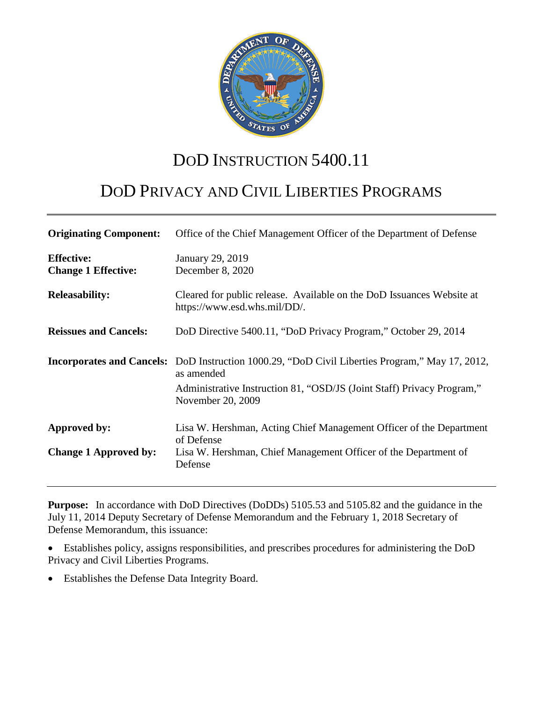

# DOD INSTRUCTION 5400.11

# DOD PRIVACY AND CIVIL LIBERTIES PROGRAMS

| <b>Originating Component:</b>                   | Office of the Chief Management Officer of the Department of Defense                                                  |
|-------------------------------------------------|----------------------------------------------------------------------------------------------------------------------|
| <b>Effective:</b><br><b>Change 1 Effective:</b> | January 29, 2019<br>December 8, 2020                                                                                 |
| <b>Releasability:</b>                           | Cleared for public release. Available on the DoD Issuances Website at<br>https://www.esd.whs.mil/DD/.                |
| <b>Reissues and Cancels:</b>                    | DoD Directive 5400.11, "DoD Privacy Program," October 29, 2014                                                       |
|                                                 | <b>Incorporates and Cancels:</b> DoD Instruction 1000.29, "DoD Civil Liberties Program," May 17, 2012,<br>as amended |
|                                                 | Administrative Instruction 81, "OSD/JS (Joint Staff) Privacy Program,"<br>November 20, 2009                          |
| <b>Approved by:</b>                             | Lisa W. Hershman, Acting Chief Management Officer of the Department<br>of Defense                                    |
| <b>Change 1 Approved by:</b>                    | Lisa W. Hershman, Chief Management Officer of the Department of<br>Defense                                           |

**Purpose:** In accordance with DoD Directives (DoDDs) 5105.53 and 5105.82 and the guidance in the July 11, 2014 Deputy Secretary of Defense Memorandum and the February 1, 2018 Secretary of Defense Memorandum, this issuance:

• Establishes policy, assigns responsibilities, and prescribes procedures for administering the DoD Privacy and Civil Liberties Programs.

• Establishes the Defense Data Integrity Board.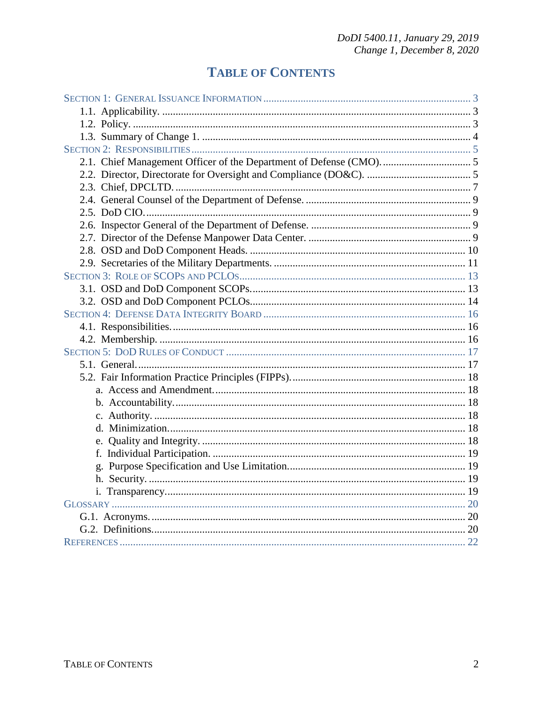## **TABLE OF CONTENTS**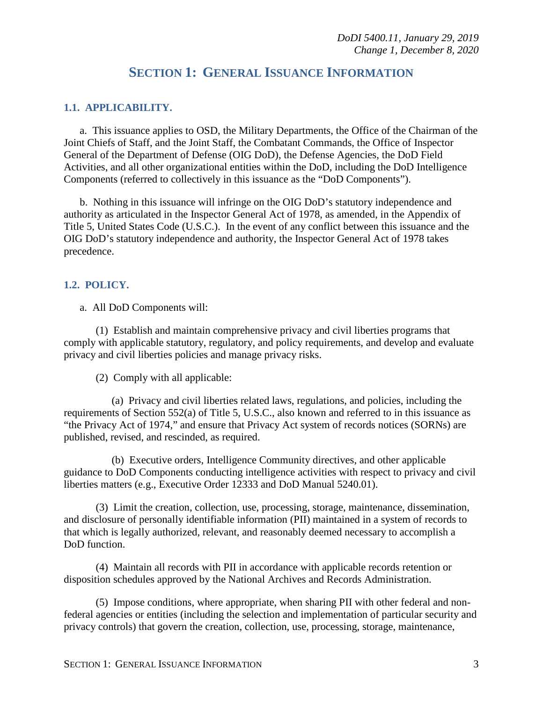## **SECTION 1: GENERAL ISSUANCE INFORMATION**

#### <span id="page-2-1"></span><span id="page-2-0"></span>**1.1. APPLICABILITY.**

a. This issuance applies to OSD, the Military Departments, the Office of the Chairman of the Joint Chiefs of Staff, and the Joint Staff, the Combatant Commands, the Office of Inspector General of the Department of Defense (OIG DoD), the Defense Agencies, the DoD Field Activities, and all other organizational entities within the DoD, including the DoD Intelligence Components (referred to collectively in this issuance as the "DoD Components").

b. Nothing in this issuance will infringe on the OIG DoD's statutory independence and authority as articulated in the Inspector General Act of 1978, as amended, in the Appendix of Title 5, United States Code (U.S.C.). In the event of any conflict between this issuance and the OIG DoD's statutory independence and authority, the Inspector General Act of 1978 takes precedence.

#### <span id="page-2-2"></span>**1.2. POLICY.**

a. All DoD Components will:

(1) Establish and maintain comprehensive privacy and civil liberties programs that comply with applicable statutory, regulatory, and policy requirements, and develop and evaluate privacy and civil liberties policies and manage privacy risks.

(2) Comply with all applicable:

(a) Privacy and civil liberties related laws, regulations, and policies, including the requirements of Section 552(a) of Title 5, U.S.C., also known and referred to in this issuance as "the Privacy Act of 1974," and ensure that Privacy Act system of records notices (SORNs) are published, revised, and rescinded, as required.

(b) Executive orders, Intelligence Community directives, and other applicable guidance to DoD Components conducting intelligence activities with respect to privacy and civil liberties matters (e.g., Executive Order 12333 and DoD Manual 5240.01).

(3) Limit the creation, collection, use, processing, storage, maintenance, dissemination, and disclosure of personally identifiable information (PII) maintained in a system of records to that which is legally authorized, relevant, and reasonably deemed necessary to accomplish a DoD function.

(4) Maintain all records with PII in accordance with applicable records retention or disposition schedules approved by the National Archives and Records Administration.

(5) Impose conditions, where appropriate, when sharing PII with other federal and nonfederal agencies or entities (including the selection and implementation of particular security and privacy controls) that govern the creation, collection, use, processing, storage, maintenance,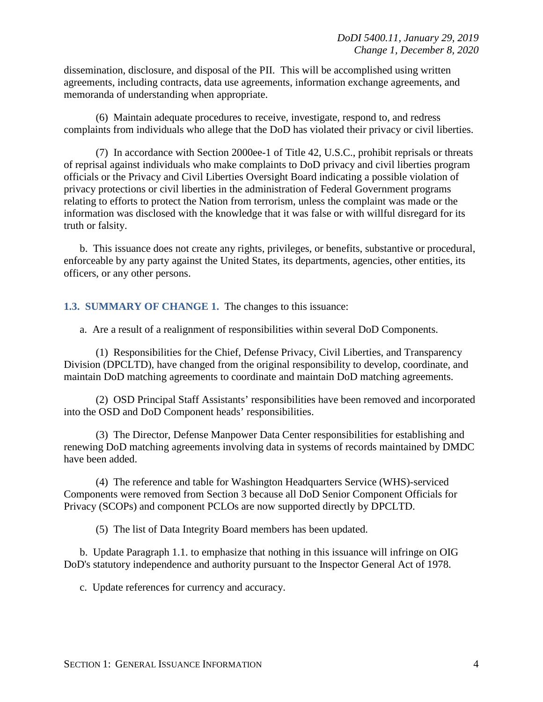dissemination, disclosure, and disposal of the PII. This will be accomplished using written agreements, including contracts, data use agreements, information exchange agreements, and memoranda of understanding when appropriate.

(6) Maintain adequate procedures to receive, investigate, respond to, and redress complaints from individuals who allege that the DoD has violated their privacy or civil liberties.

(7) In accordance with Section 2000ee-1 of Title 42, U.S.C., prohibit reprisals or threats of reprisal against individuals who make complaints to DoD privacy and civil liberties program officials or the Privacy and Civil Liberties Oversight Board indicating a possible violation of privacy protections or civil liberties in the administration of Federal Government programs relating to efforts to protect the Nation from terrorism, unless the complaint was made or the information was disclosed with the knowledge that it was false or with willful disregard for its truth or falsity.

b. This issuance does not create any rights, privileges, or benefits, substantive or procedural, enforceable by any party against the United States, its departments, agencies, other entities, its officers, or any other persons.

<span id="page-3-0"></span>**1.3. SUMMARY OF CHANGE 1.** The changes to this issuance:

a. Are a result of a realignment of responsibilities within several DoD Components.

(1) Responsibilities for the Chief, Defense Privacy, Civil Liberties, and Transparency Division (DPCLTD), have changed from the original responsibility to develop, coordinate, and maintain DoD matching agreements to coordinate and maintain DoD matching agreements.

(2) OSD Principal Staff Assistants' responsibilities have been removed and incorporated into the OSD and DoD Component heads' responsibilities.

(3) The Director, Defense Manpower Data Center responsibilities for establishing and renewing DoD matching agreements involving data in systems of records maintained by DMDC have been added.

(4) The reference and table for Washington Headquarters Service (WHS)-serviced Components were removed from Section 3 because all DoD Senior Component Officials for Privacy (SCOPs) and component PCLOs are now supported directly by DPCLTD.

(5) The list of Data Integrity Board members has been updated.

b. Update Paragraph 1.1. to emphasize that nothing in this issuance will infringe on OIG DoD's statutory independence and authority pursuant to the Inspector General Act of 1978.

c. Update references for currency and accuracy.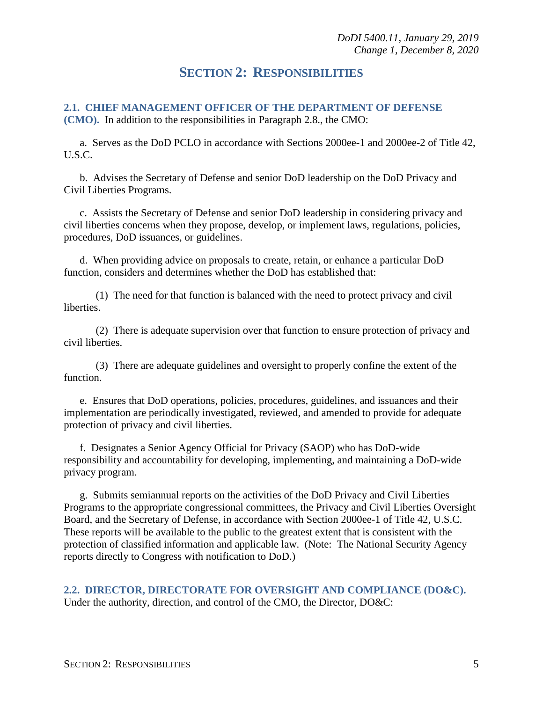### **SECTION 2: RESPONSIBILITIES**

<span id="page-4-1"></span><span id="page-4-0"></span>**2.1. CHIEF MANAGEMENT OFFICER OF THE DEPARTMENT OF DEFENSE (CMO).** In addition to the responsibilities in Paragraph 2.8., the CMO:

a. Serves as the DoD PCLO in accordance with Sections 2000ee-1 and 2000ee-2 of Title 42, U.S.C.

b. Advises the Secretary of Defense and senior DoD leadership on the DoD Privacy and Civil Liberties Programs.

c. Assists the Secretary of Defense and senior DoD leadership in considering privacy and civil liberties concerns when they propose, develop, or implement laws, regulations, policies, procedures, DoD issuances, or guidelines.

d. When providing advice on proposals to create, retain, or enhance a particular DoD function, considers and determines whether the DoD has established that:

(1) The need for that function is balanced with the need to protect privacy and civil liberties.

(2) There is adequate supervision over that function to ensure protection of privacy and civil liberties.

(3) There are adequate guidelines and oversight to properly confine the extent of the function.

e. Ensures that DoD operations, policies, procedures, guidelines, and issuances and their implementation are periodically investigated, reviewed, and amended to provide for adequate protection of privacy and civil liberties.

f. Designates a Senior Agency Official for Privacy (SAOP) who has DoD-wide responsibility and accountability for developing, implementing, and maintaining a DoD-wide privacy program.

g. Submits semiannual reports on the activities of the DoD Privacy and Civil Liberties Programs to the appropriate congressional committees, the Privacy and Civil Liberties Oversight Board, and the Secretary of Defense, in accordance with Section 2000ee-1 of Title 42, U.S.C. These reports will be available to the public to the greatest extent that is consistent with the protection of classified information and applicable law. (Note: The National Security Agency reports directly to Congress with notification to DoD.)

<span id="page-4-2"></span>**2.2. DIRECTOR, DIRECTORATE FOR OVERSIGHT AND COMPLIANCE (DO&C).** Under the authority, direction, and control of the CMO, the Director, DO&C: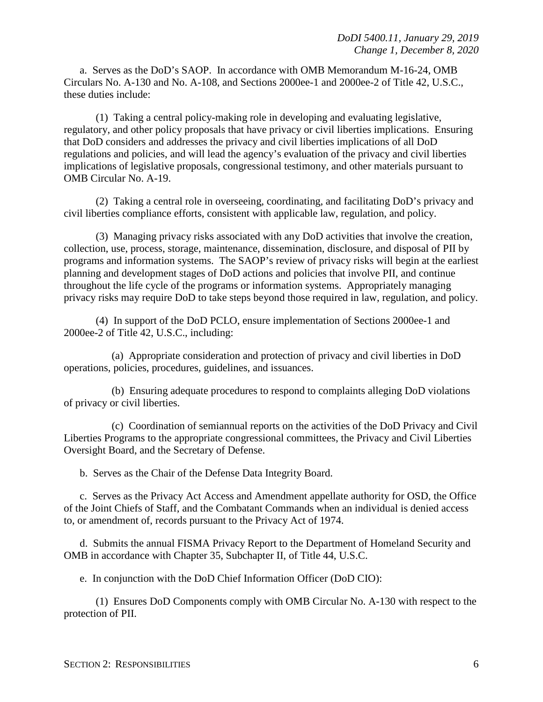a. Serves as the DoD's SAOP. In accordance with OMB Memorandum M-16-24, OMB Circulars No. A-130 and No. A-108, and Sections 2000ee-1 and 2000ee-2 of Title 42, U.S.C., these duties include:

(1) Taking a central policy-making role in developing and evaluating legislative, regulatory, and other policy proposals that have privacy or civil liberties implications. Ensuring that DoD considers and addresses the privacy and civil liberties implications of all DoD regulations and policies, and will lead the agency's evaluation of the privacy and civil liberties implications of legislative proposals, congressional testimony, and other materials pursuant to OMB Circular No. A-19.

(2) Taking a central role in overseeing, coordinating, and facilitating DoD's privacy and civil liberties compliance efforts, consistent with applicable law, regulation, and policy.

(3) Managing privacy risks associated with any DoD activities that involve the creation, collection, use, process, storage, maintenance, dissemination, disclosure, and disposal of PII by programs and information systems. The SAOP's review of privacy risks will begin at the earliest planning and development stages of DoD actions and policies that involve PII, and continue throughout the life cycle of the programs or information systems. Appropriately managing privacy risks may require DoD to take steps beyond those required in law, regulation, and policy.

(4) In support of the DoD PCLO, ensure implementation of Sections 2000ee-1 and 2000ee-2 of Title 42, U.S.C., including:

(a) Appropriate consideration and protection of privacy and civil liberties in DoD operations, policies, procedures, guidelines, and issuances.

(b) Ensuring adequate procedures to respond to complaints alleging DoD violations of privacy or civil liberties.

(c) Coordination of semiannual reports on the activities of the DoD Privacy and Civil Liberties Programs to the appropriate congressional committees, the Privacy and Civil Liberties Oversight Board, and the Secretary of Defense.

b. Serves as the Chair of the Defense Data Integrity Board.

c. Serves as the Privacy Act Access and Amendment appellate authority for OSD, the Office of the Joint Chiefs of Staff, and the Combatant Commands when an individual is denied access to, or amendment of, records pursuant to the Privacy Act of 1974.

d. Submits the annual FISMA Privacy Report to the Department of Homeland Security and OMB in accordance with Chapter 35, Subchapter II, of Title 44, U.S.C.

e. In conjunction with the DoD Chief Information Officer (DoD CIO):

(1) Ensures DoD Components comply with OMB Circular No. A-130 with respect to the protection of PII.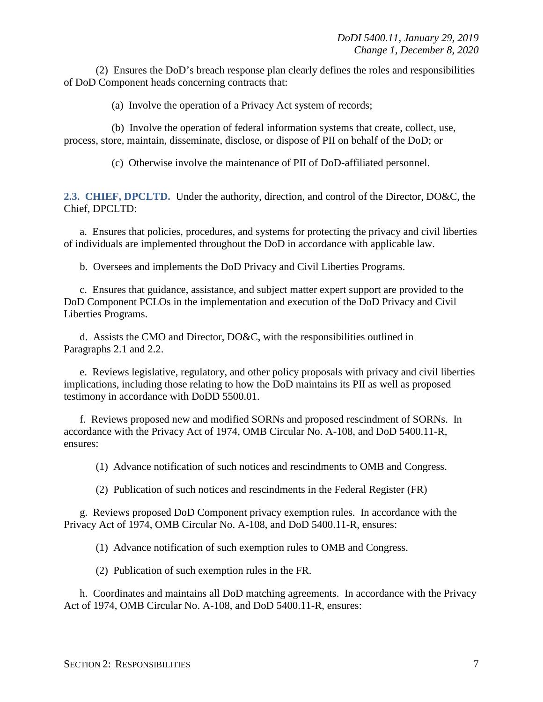(2) Ensures the DoD's breach response plan clearly defines the roles and responsibilities of DoD Component heads concerning contracts that:

(a) Involve the operation of a Privacy Act system of records;

(b) Involve the operation of federal information systems that create, collect, use, process, store, maintain, disseminate, disclose, or dispose of PII on behalf of the DoD; or

(c) Otherwise involve the maintenance of PII of DoD-affiliated personnel.

<span id="page-6-0"></span>**2.3. CHIEF, DPCLTD.** Under the authority, direction, and control of the Director, DO&C, the Chief, DPCLTD:

a. Ensures that policies, procedures, and systems for protecting the privacy and civil liberties of individuals are implemented throughout the DoD in accordance with applicable law.

b. Oversees and implements the DoD Privacy and Civil Liberties Programs.

c. Ensures that guidance, assistance, and subject matter expert support are provided to the DoD Component PCLOs in the implementation and execution of the DoD Privacy and Civil Liberties Programs.

d. Assists the CMO and Director, DO&C, with the responsibilities outlined in Paragraphs 2.1 and 2.2.

e. Reviews legislative, regulatory, and other policy proposals with privacy and civil liberties implications, including those relating to how the DoD maintains its PII as well as proposed testimony in accordance with DoDD 5500.01.

f. Reviews proposed new and modified SORNs and proposed rescindment of SORNs. In accordance with the Privacy Act of 1974, OMB Circular No. A-108, and DoD 5400.11-R, ensures:

(1) Advance notification of such notices and rescindments to OMB and Congress.

(2) Publication of such notices and rescindments in the Federal Register (FR)

g. Reviews proposed DoD Component privacy exemption rules. In accordance with the Privacy Act of 1974, OMB Circular No. A-108, and DoD 5400.11-R, ensures:

(1) Advance notification of such exemption rules to OMB and Congress.

(2) Publication of such exemption rules in the FR.

h. Coordinates and maintains all DoD matching agreements. In accordance with the Privacy Act of 1974, OMB Circular No. A-108, and DoD 5400.11-R, ensures: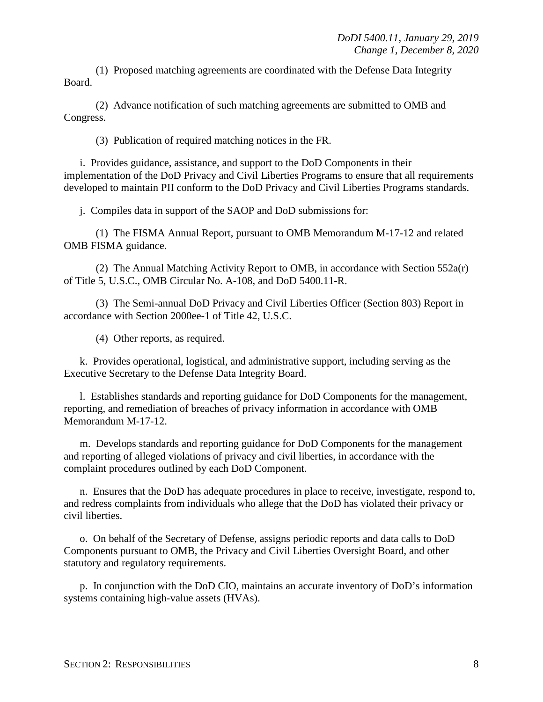(1) Proposed matching agreements are coordinated with the Defense Data Integrity Board.

(2) Advance notification of such matching agreements are submitted to OMB and Congress.

(3) Publication of required matching notices in the FR.

i. Provides guidance, assistance, and support to the DoD Components in their implementation of the DoD Privacy and Civil Liberties Programs to ensure that all requirements developed to maintain PII conform to the DoD Privacy and Civil Liberties Programs standards.

j. Compiles data in support of the SAOP and DoD submissions for:

(1) The FISMA Annual Report, pursuant to OMB Memorandum M-17-12 and related OMB FISMA guidance.

(2) The Annual Matching Activity Report to OMB, in accordance with Section 552a(r) of Title 5, U.S.C., OMB Circular No. A-108, and DoD 5400.11-R.

(3) The Semi-annual DoD Privacy and Civil Liberties Officer (Section 803) Report in accordance with Section 2000ee-1 of Title 42, U.S.C.

(4) Other reports, as required.

k. Provides operational, logistical, and administrative support, including serving as the Executive Secretary to the Defense Data Integrity Board.

l. Establishes standards and reporting guidance for DoD Components for the management, reporting, and remediation of breaches of privacy information in accordance with OMB Memorandum M-17-12.

m. Develops standards and reporting guidance for DoD Components for the management and reporting of alleged violations of privacy and civil liberties, in accordance with the complaint procedures outlined by each DoD Component.

n. Ensures that the DoD has adequate procedures in place to receive, investigate, respond to, and redress complaints from individuals who allege that the DoD has violated their privacy or civil liberties.

o. On behalf of the Secretary of Defense, assigns periodic reports and data calls to DoD Components pursuant to OMB, the Privacy and Civil Liberties Oversight Board, and other statutory and regulatory requirements.

p. In conjunction with the DoD CIO, maintains an accurate inventory of DoD's information systems containing high-value assets (HVAs).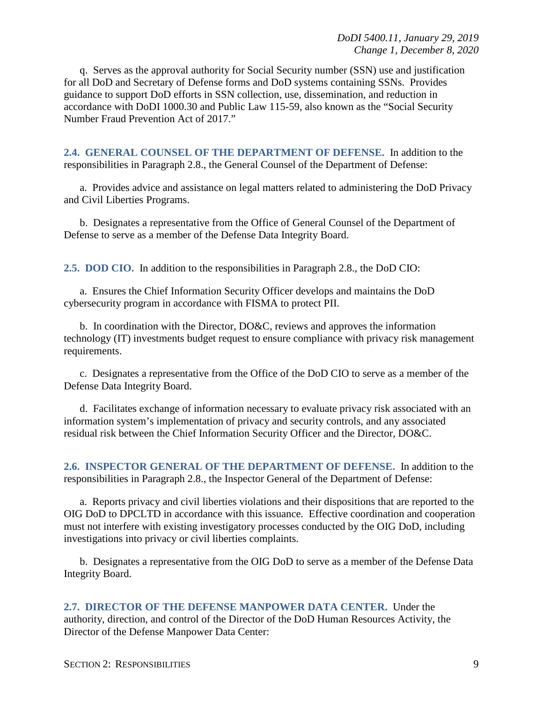q. Serves as the approval authority for Social Security number (SSN) use and justification for all DoD and Secretary of Defense forms and DoD systems containing SSNs. Provides guidance to support DoD efforts in SSN collection, use, dissemination, and reduction in accordance with DoDI 1000.30 and Public Law 115-59, also known as the "Social Security Number Fraud Prevention Act of 2017."

<span id="page-8-0"></span>**2.4. GENERAL COUNSEL OF THE DEPARTMENT OF DEFENSE.** In addition to the responsibilities in Paragraph 2.8., the General Counsel of the Department of Defense:

a. Provides advice and assistance on legal matters related to administering the DoD Privacy and Civil Liberties Programs.

b. Designates a representative from the Office of General Counsel of the Department of Defense to serve as a member of the Defense Data Integrity Board.

<span id="page-8-1"></span>**2.5. DOD CIO.** In addition to the responsibilities in Paragraph 2.8., the DoD CIO:

a. Ensures the Chief Information Security Officer develops and maintains the DoD cybersecurity program in accordance with FISMA to protect PII.

b. In coordination with the Director, DO&C, reviews and approves the information technology (IT) investments budget request to ensure compliance with privacy risk management requirements.

c. Designates a representative from the Office of the DoD CIO to serve as a member of the Defense Data Integrity Board.

d. Facilitates exchange of information necessary to evaluate privacy risk associated with an information system's implementation of privacy and security controls, and any associated residual risk between the Chief Information Security Officer and the Director, DO&C.

<span id="page-8-2"></span>**2.6. INSPECTOR GENERAL OF THE DEPARTMENT OF DEFENSE.** In addition to the responsibilities in Paragraph 2.8., the Inspector General of the Department of Defense:

a. Reports privacy and civil liberties violations and their dispositions that are reported to the OIG DoD to DPCLTD in accordance with this issuance. Effective coordination and cooperation must not interfere with existing investigatory processes conducted by the OIG DoD, including investigations into privacy or civil liberties complaints.

b. Designates a representative from the OIG DoD to serve as a member of the Defense Data Integrity Board.

<span id="page-8-3"></span>**2.7. DIRECTOR OF THE DEFENSE MANPOWER DATA CENTER.** Under the authority, direction, and control of the Director of the DoD Human Resources Activity, the Director of the Defense Manpower Data Center: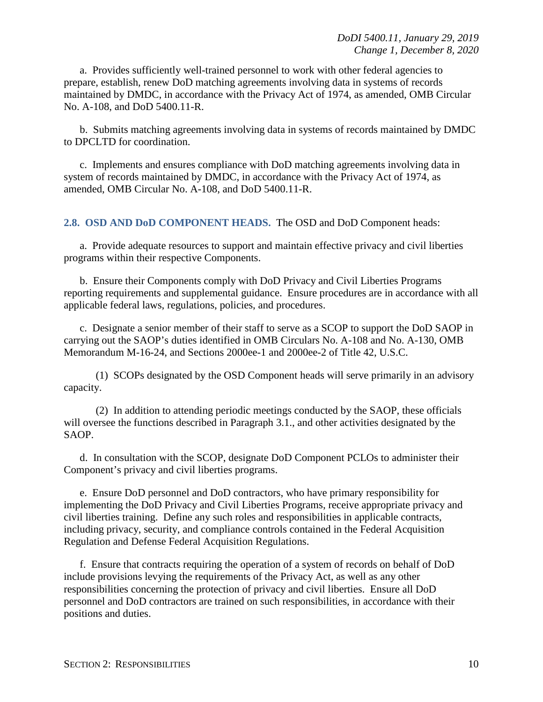a. Provides sufficiently well-trained personnel to work with other federal agencies to prepare, establish, renew DoD matching agreements involving data in systems of records maintained by DMDC, in accordance with the Privacy Act of 1974, as amended, OMB Circular No. A-108, and DoD 5400.11-R.

b. Submits matching agreements involving data in systems of records maintained by DMDC to DPCLTD for coordination.

c. Implements and ensures compliance with DoD matching agreements involving data in system of records maintained by DMDC, in accordance with the Privacy Act of 1974, as amended, OMB Circular No. A-108, and DoD 5400.11-R.

<span id="page-9-0"></span>**2.8. OSD AND DoD COMPONENT HEADS.** The OSD and DoD Component heads:

a. Provide adequate resources to support and maintain effective privacy and civil liberties programs within their respective Components.

b. Ensure their Components comply with DoD Privacy and Civil Liberties Programs reporting requirements and supplemental guidance. Ensure procedures are in accordance with all applicable federal laws, regulations, policies, and procedures.

c. Designate a senior member of their staff to serve as a SCOP to support the DoD SAOP in carrying out the SAOP's duties identified in OMB Circulars No. A-108 and No. A-130, OMB Memorandum M-16-24, and Sections 2000ee-1 and 2000ee-2 of Title 42, U.S.C.

(1) SCOPs designated by the OSD Component heads will serve primarily in an advisory capacity.

(2) In addition to attending periodic meetings conducted by the SAOP, these officials will oversee the functions described in Paragraph 3.1., and other activities designated by the SAOP.

d. In consultation with the SCOP, designate DoD Component PCLOs to administer their Component's privacy and civil liberties programs.

e. Ensure DoD personnel and DoD contractors, who have primary responsibility for implementing the DoD Privacy and Civil Liberties Programs, receive appropriate privacy and civil liberties training. Define any such roles and responsibilities in applicable contracts, including privacy, security, and compliance controls contained in the Federal Acquisition Regulation and Defense Federal Acquisition Regulations.

f. Ensure that contracts requiring the operation of a system of records on behalf of DoD include provisions levying the requirements of the Privacy Act, as well as any other responsibilities concerning the protection of privacy and civil liberties. Ensure all DoD personnel and DoD contractors are trained on such responsibilities, in accordance with their positions and duties.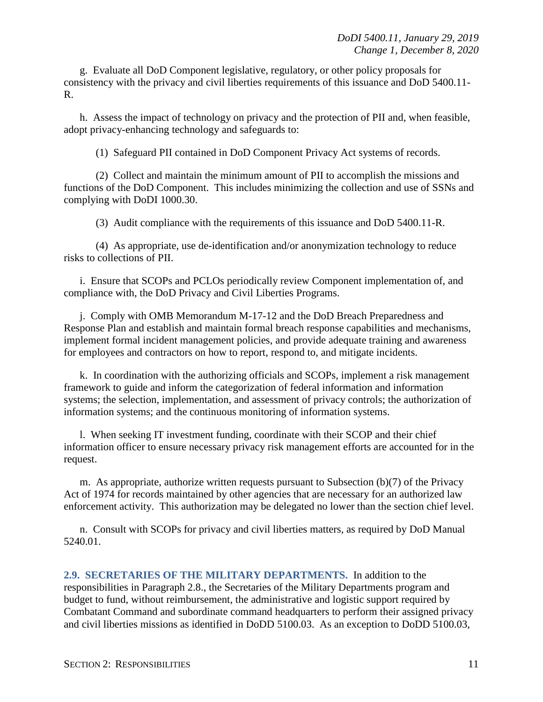g. Evaluate all DoD Component legislative, regulatory, or other policy proposals for consistency with the privacy and civil liberties requirements of this issuance and DoD 5400.11- R.

h. Assess the impact of technology on privacy and the protection of PII and, when feasible, adopt privacy-enhancing technology and safeguards to:

(1) Safeguard PII contained in DoD Component Privacy Act systems of records.

(2) Collect and maintain the minimum amount of PII to accomplish the missions and functions of the DoD Component. This includes minimizing the collection and use of SSNs and complying with DoDI 1000.30.

(3) Audit compliance with the requirements of this issuance and DoD 5400.11-R.

(4) As appropriate, use de-identification and/or anonymization technology to reduce risks to collections of PII.

i. Ensure that SCOPs and PCLOs periodically review Component implementation of, and compliance with, the DoD Privacy and Civil Liberties Programs.

j. Comply with OMB Memorandum M-17-12 and the DoD Breach Preparedness and Response Plan and establish and maintain formal breach response capabilities and mechanisms, implement formal incident management policies, and provide adequate training and awareness for employees and contractors on how to report, respond to, and mitigate incidents.

k. In coordination with the authorizing officials and SCOPs, implement a risk management framework to guide and inform the categorization of federal information and information systems; the selection, implementation, and assessment of privacy controls; the authorization of information systems; and the continuous monitoring of information systems.

l. When seeking IT investment funding, coordinate with their SCOP and their chief information officer to ensure necessary privacy risk management efforts are accounted for in the request.

m. As appropriate, authorize written requests pursuant to Subsection (b)(7) of the Privacy Act of 1974 for records maintained by other agencies that are necessary for an authorized law enforcement activity. This authorization may be delegated no lower than the section chief level.

n. Consult with SCOPs for privacy and civil liberties matters, as required by DoD Manual 5240.01.

<span id="page-10-0"></span>**2.9. SECRETARIES OF THE MILITARY DEPARTMENTS.** In addition to the responsibilities in Paragraph 2.8., the Secretaries of the Military Departments program and budget to fund, without reimbursement, the administrative and logistic support required by Combatant Command and subordinate command headquarters to perform their assigned privacy and civil liberties missions as identified in DoDD 5100.03. As an exception to DoDD 5100.03,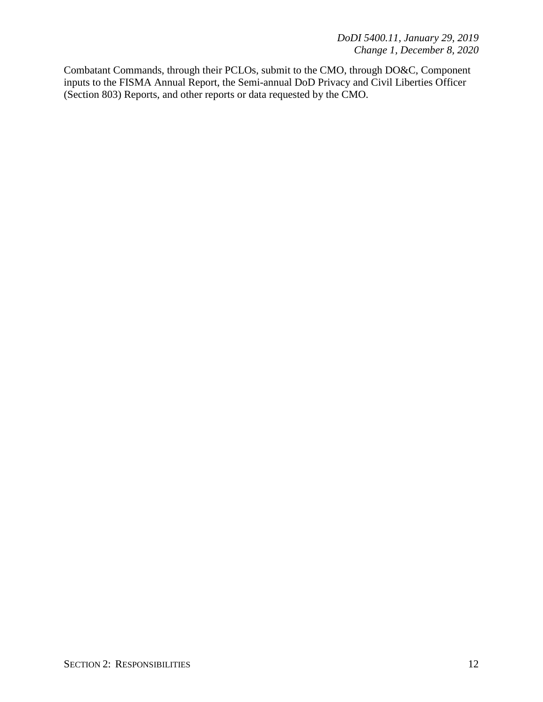Combatant Commands, through their PCLOs, submit to the CMO, through DO&C, Component inputs to the FISMA Annual Report, the Semi-annual DoD Privacy and Civil Liberties Officer (Section 803) Reports, and other reports or data requested by the CMO.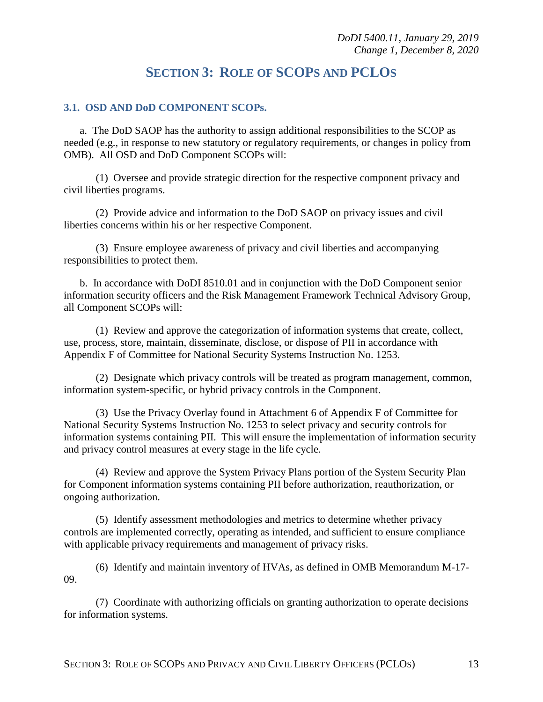## **SECTION 3: ROLE OF SCOPS AND PCLOS**

#### <span id="page-12-1"></span><span id="page-12-0"></span>**3.1. OSD AND DoD COMPONENT SCOPs.**

a. The DoD SAOP has the authority to assign additional responsibilities to the SCOP as needed (e.g., in response to new statutory or regulatory requirements, or changes in policy from OMB). All OSD and DoD Component SCOPs will:

(1) Oversee and provide strategic direction for the respective component privacy and civil liberties programs.

(2) Provide advice and information to the DoD SAOP on privacy issues and civil liberties concerns within his or her respective Component.

(3) Ensure employee awareness of privacy and civil liberties and accompanying responsibilities to protect them.

b. In accordance with DoDI 8510.01 and in conjunction with the DoD Component senior information security officers and the Risk Management Framework Technical Advisory Group, all Component SCOPs will:

(1) Review and approve the categorization of information systems that create, collect, use, process, store, maintain, disseminate, disclose, or dispose of PII in accordance with Appendix F of Committee for National Security Systems Instruction No. 1253.

(2) Designate which privacy controls will be treated as program management, common, information system-specific, or hybrid privacy controls in the Component.

(3) Use the Privacy Overlay found in Attachment 6 of Appendix F of Committee for National Security Systems Instruction No. 1253 to select privacy and security controls for information systems containing PII. This will ensure the implementation of information security and privacy control measures at every stage in the life cycle.

(4) Review and approve the System Privacy Plans portion of the System Security Plan for Component information systems containing PII before authorization, reauthorization, or ongoing authorization.

(5) Identify assessment methodologies and metrics to determine whether privacy controls are implemented correctly, operating as intended, and sufficient to ensure compliance with applicable privacy requirements and management of privacy risks.

(6) Identify and maintain inventory of HVAs, as defined in OMB Memorandum M-17- 09.

(7) Coordinate with authorizing officials on granting authorization to operate decisions for information systems.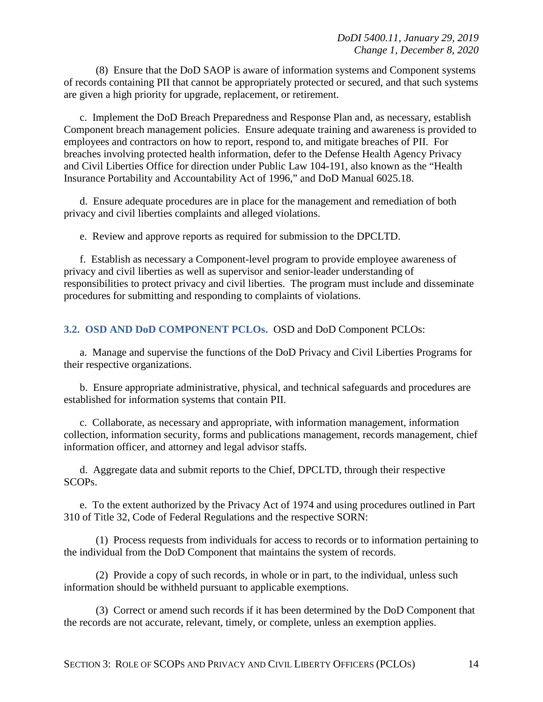(8) Ensure that the DoD SAOP is aware of information systems and Component systems of records containing PII that cannot be appropriately protected or secured, and that such systems are given a high priority for upgrade, replacement, or retirement.

c. Implement the DoD Breach Preparedness and Response Plan and, as necessary, establish Component breach management policies. Ensure adequate training and awareness is provided to employees and contractors on how to report, respond to, and mitigate breaches of PII. For breaches involving protected health information, defer to the Defense Health Agency Privacy and Civil Liberties Office for direction under Public Law 104-191, also known as the "Health Insurance Portability and Accountability Act of 1996," and DoD Manual 6025.18.

d. Ensure adequate procedures are in place for the management and remediation of both privacy and civil liberties complaints and alleged violations.

e. Review and approve reports as required for submission to the DPCLTD.

f. Establish as necessary a Component-level program to provide employee awareness of privacy and civil liberties as well as supervisor and senior-leader understanding of responsibilities to protect privacy and civil liberties. The program must include and disseminate procedures for submitting and responding to complaints of violations.

#### <span id="page-13-0"></span>**3.2. OSD AND DoD COMPONENT PCLOs.** OSD and DoD Component PCLOs:

a. Manage and supervise the functions of the DoD Privacy and Civil Liberties Programs for their respective organizations.

b. Ensure appropriate administrative, physical, and technical safeguards and procedures are established for information systems that contain PII.

c. Collaborate, as necessary and appropriate, with information management, information collection, information security, forms and publications management, records management, chief information officer, and attorney and legal advisor staffs.

d. Aggregate data and submit reports to the Chief, DPCLTD, through their respective SCOPs.

e. To the extent authorized by the Privacy Act of 1974 and using procedures outlined in Part 310 of Title 32, Code of Federal Regulations and the respective SORN:

(1) Process requests from individuals for access to records or to information pertaining to the individual from the DoD Component that maintains the system of records.

(2) Provide a copy of such records, in whole or in part, to the individual, unless such information should be withheld pursuant to applicable exemptions.

(3) Correct or amend such records if it has been determined by the DoD Component that the records are not accurate, relevant, timely, or complete, unless an exemption applies.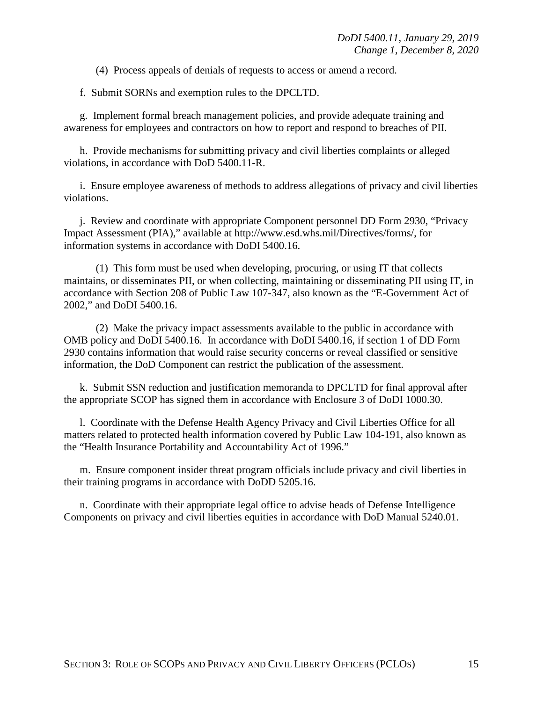(4) Process appeals of denials of requests to access or amend a record.

f. Submit SORNs and exemption rules to the DPCLTD.

g. Implement formal breach management policies, and provide adequate training and awareness for employees and contractors on how to report and respond to breaches of PII.

h. Provide mechanisms for submitting privacy and civil liberties complaints or alleged violations, in accordance with DoD 5400.11-R.

i. Ensure employee awareness of methods to address allegations of privacy and civil liberties violations.

j. Review and coordinate with appropriate Component personnel DD Form 2930, "Privacy Impact Assessment (PIA)," available at http://www.esd.whs.mil/Directives/forms/, for information systems in accordance with DoDI 5400.16.

(1) This form must be used when developing, procuring, or using IT that collects maintains, or disseminates PII, or when collecting, maintaining or disseminating PII using IT, in accordance with Section 208 of Public Law 107-347, also known as the "E-Government Act of 2002," and DoDI 5400.16.

(2) Make the privacy impact assessments available to the public in accordance with OMB policy and DoDI 5400.16. In accordance with DoDI 5400.16, if section 1 of DD Form 2930 contains information that would raise security concerns or reveal classified or sensitive information, the DoD Component can restrict the publication of the assessment.

k. Submit SSN reduction and justification memoranda to DPCLTD for final approval after the appropriate SCOP has signed them in accordance with Enclosure 3 of DoDI 1000.30.

l. Coordinate with the Defense Health Agency Privacy and Civil Liberties Office for all matters related to protected health information covered by Public Law 104-191, also known as the "Health Insurance Portability and Accountability Act of 1996."

m. Ensure component insider threat program officials include privacy and civil liberties in their training programs in accordance with DoDD 5205.16.

n. Coordinate with their appropriate legal office to advise heads of Defense Intelligence Components on privacy and civil liberties equities in accordance with DoD Manual 5240.01.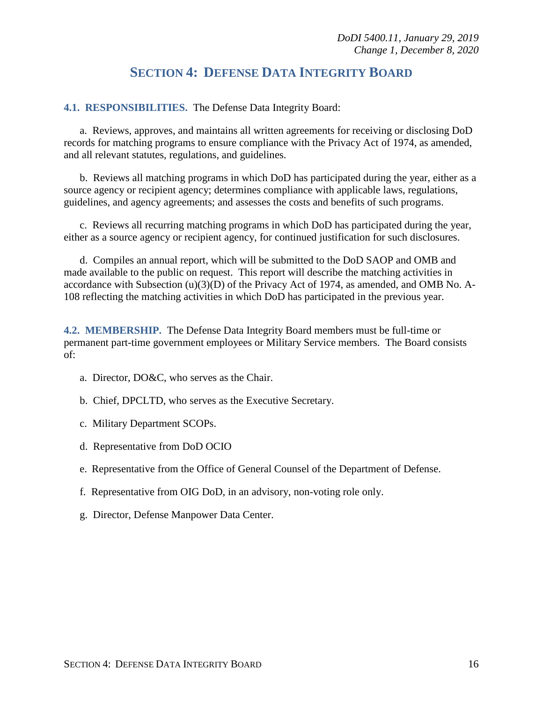## **SECTION 4: DEFENSE DATA INTEGRITY BOARD**

<span id="page-15-1"></span><span id="page-15-0"></span>**4.1. RESPONSIBILITIES.** The Defense Data Integrity Board:

a. Reviews, approves, and maintains all written agreements for receiving or disclosing DoD records for matching programs to ensure compliance with the Privacy Act of 1974, as amended, and all relevant statutes, regulations, and guidelines.

b. Reviews all matching programs in which DoD has participated during the year, either as a source agency or recipient agency; determines compliance with applicable laws, regulations, guidelines, and agency agreements; and assesses the costs and benefits of such programs.

c. Reviews all recurring matching programs in which DoD has participated during the year, either as a source agency or recipient agency, for continued justification for such disclosures.

d. Compiles an annual report, which will be submitted to the DoD SAOP and OMB and made available to the public on request. This report will describe the matching activities in accordance with Subsection (u)(3)(D) of the Privacy Act of 1974, as amended, and OMB No. A-108 reflecting the matching activities in which DoD has participated in the previous year.

<span id="page-15-2"></span>**4.2. MEMBERSHIP.** The Defense Data Integrity Board members must be full-time or permanent part-time government employees or Military Service members. The Board consists of:

- a. Director, DO&C, who serves as the Chair.
- b. Chief, DPCLTD, who serves as the Executive Secretary.
- c. Military Department SCOPs.
- d. Representative from DoD OCIO
- e. Representative from the Office of General Counsel of the Department of Defense.
- f. Representative from OIG DoD, in an advisory, non-voting role only.
- g. Director, Defense Manpower Data Center.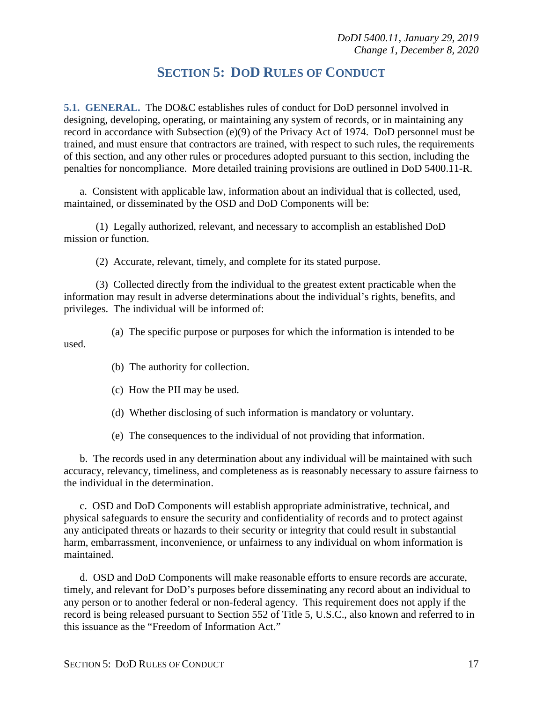## **SECTION 5: DOD RULES OF CONDUCT**

<span id="page-16-1"></span><span id="page-16-0"></span>**5.1. GENERAL.** The DO&C establishes rules of conduct for DoD personnel involved in designing, developing, operating, or maintaining any system of records, or in maintaining any record in accordance with Subsection (e)(9) of the Privacy Act of 1974. DoD personnel must be trained, and must ensure that contractors are trained, with respect to such rules, the requirements of this section, and any other rules or procedures adopted pursuant to this section, including the penalties for noncompliance. More detailed training provisions are outlined in DoD 5400.11-R.

a. Consistent with applicable law, information about an individual that is collected, used, maintained, or disseminated by the OSD and DoD Components will be:

(1) Legally authorized, relevant, and necessary to accomplish an established DoD mission or function.

(2) Accurate, relevant, timely, and complete for its stated purpose.

(3) Collected directly from the individual to the greatest extent practicable when the information may result in adverse determinations about the individual's rights, benefits, and privileges. The individual will be informed of:

(a) The specific purpose or purposes for which the information is intended to be used.

- (b) The authority for collection.
- (c) How the PII may be used.
- (d) Whether disclosing of such information is mandatory or voluntary.
- (e) The consequences to the individual of not providing that information.

b. The records used in any determination about any individual will be maintained with such accuracy, relevancy, timeliness, and completeness as is reasonably necessary to assure fairness to the individual in the determination.

c. OSD and DoD Components will establish appropriate administrative, technical, and physical safeguards to ensure the security and confidentiality of records and to protect against any anticipated threats or hazards to their security or integrity that could result in substantial harm, embarrassment, inconvenience, or unfairness to any individual on whom information is maintained.

d. OSD and DoD Components will make reasonable efforts to ensure records are accurate, timely, and relevant for DoD's purposes before disseminating any record about an individual to any person or to another federal or non-federal agency. This requirement does not apply if the record is being released pursuant to Section 552 of Title 5, U.S.C., also known and referred to in this issuance as the "Freedom of Information Act."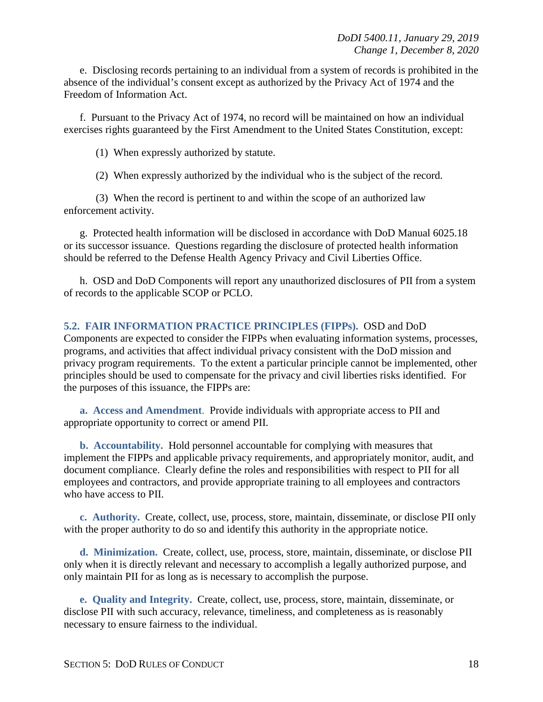e. Disclosing records pertaining to an individual from a system of records is prohibited in the absence of the individual's consent except as authorized by the Privacy Act of 1974 and the Freedom of Information Act.

f. Pursuant to the Privacy Act of 1974, no record will be maintained on how an individual exercises rights guaranteed by the First Amendment to the United States Constitution, except:

(1) When expressly authorized by statute.

(2) When expressly authorized by the individual who is the subject of the record.

(3) When the record is pertinent to and within the scope of an authorized law enforcement activity.

g. Protected health information will be disclosed in accordance with DoD Manual 6025.18 or its successor issuance. Questions regarding the disclosure of protected health information should be referred to the Defense Health Agency Privacy and Civil Liberties Office.

h. OSD and DoD Components will report any unauthorized disclosures of PII from a system of records to the applicable SCOP or PCLO.

#### <span id="page-17-0"></span>**5.2. FAIR INFORMATION PRACTICE PRINCIPLES (FIPPs).** OSD and DoD

Components are expected to consider the FIPPs when evaluating information systems, processes, programs, and activities that affect individual privacy consistent with the DoD mission and privacy program requirements. To the extent a particular principle cannot be implemented, other principles should be used to compensate for the privacy and civil liberties risks identified. For the purposes of this issuance, the FIPPs are:

<span id="page-17-1"></span>**a. Access and Amendment**. Provide individuals with appropriate access to PII and appropriate opportunity to correct or amend PII.

<span id="page-17-2"></span>**b. Accountability.** Hold personnel accountable for complying with measures that implement the FIPPs and applicable privacy requirements, and appropriately monitor, audit, and document compliance. Clearly define the roles and responsibilities with respect to PII for all employees and contractors, and provide appropriate training to all employees and contractors who have access to PII.

<span id="page-17-3"></span>**c. Authority.** Create, collect, use, process, store, maintain, disseminate, or disclose PII only with the proper authority to do so and identify this authority in the appropriate notice.

<span id="page-17-4"></span>**d. Minimization.** Create, collect, use, process, store, maintain, disseminate, or disclose PII only when it is directly relevant and necessary to accomplish a legally authorized purpose, and only maintain PII for as long as is necessary to accomplish the purpose.

<span id="page-17-5"></span>**e. Quality and Integrity.** Create, collect, use, process, store, maintain, disseminate, or disclose PII with such accuracy, relevance, timeliness, and completeness as is reasonably necessary to ensure fairness to the individual.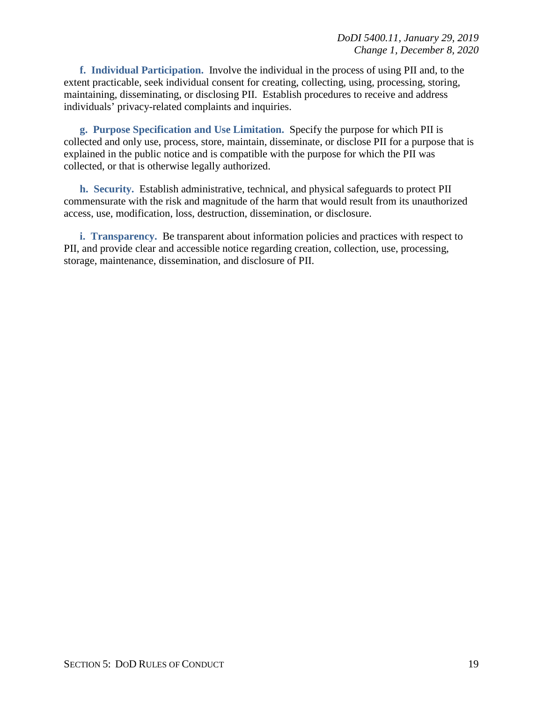<span id="page-18-0"></span>**f. Individual Participation.** Involve the individual in the process of using PII and, to the extent practicable, seek individual consent for creating, collecting, using, processing, storing, maintaining, disseminating, or disclosing PII. Establish procedures to receive and address individuals' privacy-related complaints and inquiries.

<span id="page-18-1"></span>**g. Purpose Specification and Use Limitation.** Specify the purpose for which PII is collected and only use, process, store, maintain, disseminate, or disclose PII for a purpose that is explained in the public notice and is compatible with the purpose for which the PII was collected, or that is otherwise legally authorized.

<span id="page-18-2"></span>**h. Security.** Establish administrative, technical, and physical safeguards to protect PII commensurate with the risk and magnitude of the harm that would result from its unauthorized access, use, modification, loss, destruction, dissemination, or disclosure.

<span id="page-18-3"></span>**i. Transparency.** Be transparent about information policies and practices with respect to PII, and provide clear and accessible notice regarding creation, collection, use, processing, storage, maintenance, dissemination, and disclosure of PII.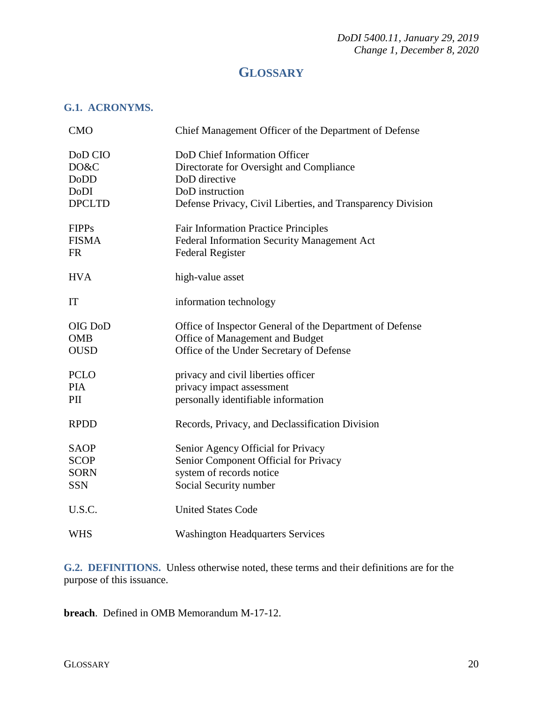## **GLOSSARY**

#### <span id="page-19-1"></span><span id="page-19-0"></span>**G.1. ACRONYMS.**

| <b>CMO</b>                                              | Chief Management Officer of the Department of Defense                                                                                                                        |
|---------------------------------------------------------|------------------------------------------------------------------------------------------------------------------------------------------------------------------------------|
| DoD CIO<br>DO&C<br>DoDD<br>DoDI<br><b>DPCLTD</b>        | DoD Chief Information Officer<br>Directorate for Oversight and Compliance<br>DoD directive<br>DoD instruction<br>Defense Privacy, Civil Liberties, and Transparency Division |
| <b>FIPPs</b><br><b>FISMA</b><br><b>FR</b>               | <b>Fair Information Practice Principles</b><br>Federal Information Security Management Act<br><b>Federal Register</b>                                                        |
| <b>HVA</b>                                              | high-value asset                                                                                                                                                             |
| IT                                                      | information technology                                                                                                                                                       |
| OIG DoD<br><b>OMB</b><br><b>OUSD</b>                    | Office of Inspector General of the Department of Defense<br>Office of Management and Budget<br>Office of the Under Secretary of Defense                                      |
| <b>PCLO</b><br><b>PIA</b><br>PII                        | privacy and civil liberties officer<br>privacy impact assessment<br>personally identifiable information                                                                      |
| <b>RPDD</b>                                             | Records, Privacy, and Declassification Division                                                                                                                              |
| <b>SAOP</b><br><b>SCOP</b><br><b>SORN</b><br><b>SSN</b> | Senior Agency Official for Privacy<br>Senior Component Official for Privacy<br>system of records notice<br>Social Security number                                            |
| U.S.C.                                                  | <b>United States Code</b>                                                                                                                                                    |
| <b>WHS</b>                                              | <b>Washington Headquarters Services</b>                                                                                                                                      |

<span id="page-19-2"></span>**G.2. DEFINITIONS.** Unless otherwise noted, these terms and their definitions are for the purpose of this issuance.

**breach**. Defined in OMB Memorandum M-17-12.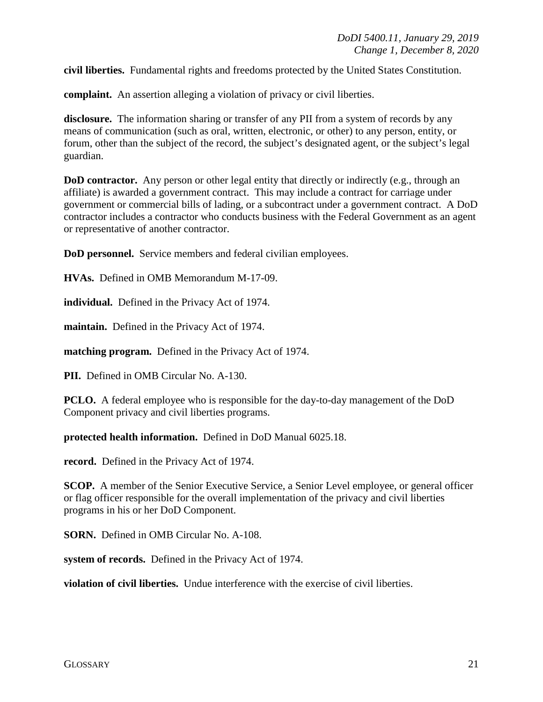**civil liberties.** Fundamental rights and freedoms protected by the United States Constitution.

**complaint.** An assertion alleging a violation of privacy or civil liberties.

**disclosure.** The information sharing or transfer of any PII from a system of records by any means of communication (such as oral, written, electronic, or other) to any person, entity, or forum, other than the subject of the record, the subject's designated agent, or the subject's legal guardian.

**DoD contractor.** Any person or other legal entity that directly or indirectly (e.g., through an affiliate) is awarded a government contract. This may include a contract for carriage under government or commercial bills of lading, or a subcontract under a government contract. A DoD contractor includes a contractor who conducts business with the Federal Government as an agent or representative of another contractor.

**DoD personnel.** Service members and federal civilian employees.

**HVAs.** Defined in OMB Memorandum M-17-09.

**individual.** Defined in the Privacy Act of 1974.

**maintain.** Defined in the Privacy Act of 1974.

**matching program.** Defined in the Privacy Act of 1974.

**PII.** Defined in OMB Circular No. A-130.

**PCLO.** A federal employee who is responsible for the day-to-day management of the DoD Component privacy and civil liberties programs.

**protected health information.** Defined in DoD Manual 6025.18.

**record.** Defined in the Privacy Act of 1974.

**SCOP.** A member of the Senior Executive Service, a Senior Level employee, or general officer or flag officer responsible for the overall implementation of the privacy and civil liberties programs in his or her DoD Component.

**SORN.** Defined in OMB Circular No. A-108.

**system of records.** Defined in the Privacy Act of 1974.

**violation of civil liberties.** Undue interference with the exercise of civil liberties.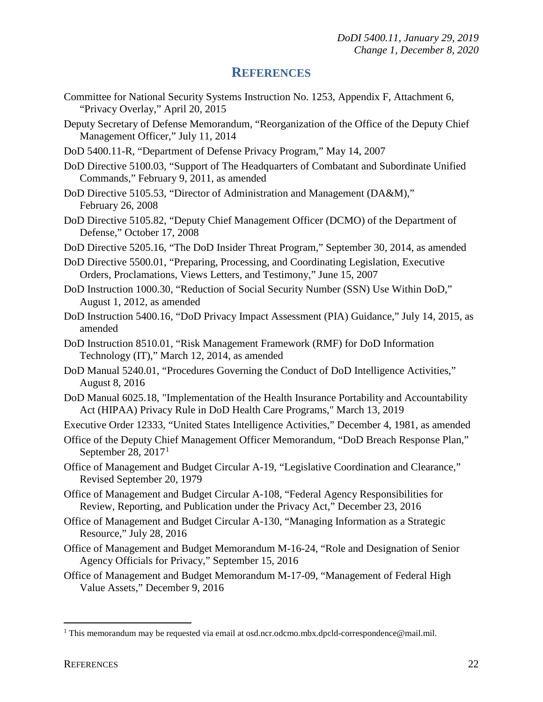#### **REFERENCES**

- <span id="page-21-0"></span>Committee for National Security Systems Instruction No. 1253, Appendix F, Attachment 6, "Privacy Overlay," April 20, 2015
- Deputy Secretary of Defense Memorandum, "Reorganization of the Office of the Deputy Chief Management Officer," July 11, 2014
- DoD 5400.11-R, "Department of Defense Privacy Program," May 14, 2007
- DoD Directive 5100.03, "Support of The Headquarters of Combatant and Subordinate Unified Commands," February 9, 2011, as amended
- DoD Directive 5105.53, "Director of Administration and Management (DA&M)," February 26, 2008
- DoD Directive 5105.82, "Deputy Chief Management Officer (DCMO) of the Department of Defense," October 17, 2008
- DoD Directive 5205.16, "The DoD Insider Threat Program," September 30, 2014, as amended
- DoD Directive 5500.01, "Preparing, Processing, and Coordinating Legislation, Executive Orders, Proclamations, Views Letters, and Testimony," June 15, 2007
- DoD Instruction 1000.30, "Reduction of Social Security Number (SSN) Use Within DoD," August 1, 2012, as amended
- DoD Instruction 5400.16, "DoD Privacy Impact Assessment (PIA) Guidance," July 14, 2015, as amended
- DoD Instruction 8510.01, "Risk Management Framework (RMF) for DoD Information Technology (IT)," March 12, 2014, as amended
- DoD Manual 5240.01, "Procedures Governing the Conduct of DoD Intelligence Activities," August 8, 2016
- DoD Manual 6025.18, "Implementation of the Health Insurance Portability and Accountability Act (HIPAA) Privacy Rule in DoD Health Care Programs," March 13, 2019

Executive Order 12333, "United States Intelligence Activities," December 4, 1981, as amended

- Office of the Deputy Chief Management Officer Memorandum, "DoD Breach Response Plan," September  $28, 2017<sup>1</sup>$  $28, 2017<sup>1</sup>$  $28, 2017<sup>1</sup>$
- Office of Management and Budget Circular A-19, "Legislative Coordination and Clearance," Revised September 20, 1979
- Office of Management and Budget Circular A-108, "Federal Agency Responsibilities for Review, Reporting, and Publication under the Privacy Act," December 23, 2016
- Office of Management and Budget Circular A-130, "Managing Information as a Strategic Resource," July 28, 2016
- Office of Management and Budget Memorandum M-16-24, "Role and Designation of Senior Agency Officials for Privacy," September 15, 2016
- Office of Management and Budget Memorandum M-17-09, "Management of Federal High Value Assets," December 9, 2016

<span id="page-21-1"></span><sup>&</sup>lt;sup>1</sup> This memorandum may be requested via email at osd.ncr.odcmo.mbx.dpcld-correspondence@mail.mil.